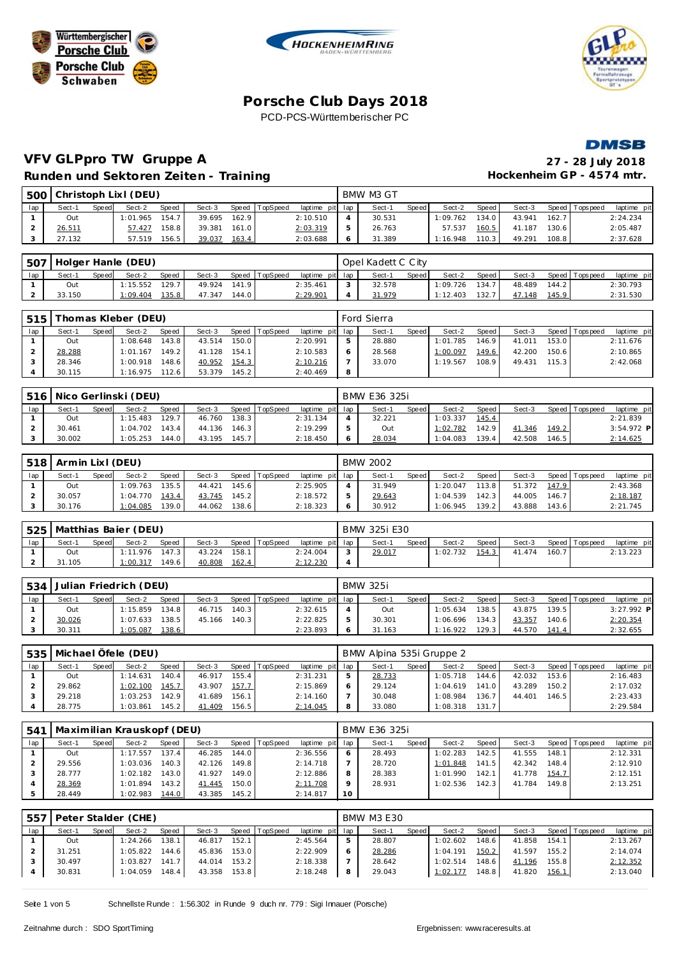







### **VFV GLPpro TW Gruppe A 27 - 28 July 2018** Runden und Sektoren Zeiten - Training **Matter and American Hockenheim GP** - 4574 mtr.

| 50C |        |              | Christoph Lixl (DEU) |       |        |       |          |             |     | BMW M3 GT |       |          |         |        |       |                 |             |
|-----|--------|--------------|----------------------|-------|--------|-------|----------|-------------|-----|-----------|-------|----------|---------|--------|-------|-----------------|-------------|
| lap | Sect-1 | <b>Speed</b> | Sect-2               | Speed | Sect-3 | Speed | TopSpeed | laptime pit | lap | Sect-     | Speed | Sect-2   | Speed I | Sect-3 |       | Speed Tops peed | laptime pit |
|     | Out    |              | 1:01.965             | 154.7 | 39.695 | 162.9 |          | 2:10.510    | 4   | 30.531    |       | 1:09.762 | 134.0   | 43.941 | 162.7 |                 | 2:24.234    |
|     | 26.511 |              | 57.427               | 158.8 | 39.381 | 161.0 |          | 2:03.319    |     | 26.763    |       | 57.537   | 160.5   | 41.187 | 130.6 |                 | 2:05.487    |
|     | 27.132 |              | 57.519               | 156.5 | 39.037 | 163.4 |          | 2:03.688    | 6   | 31.389    |       | 1:16.948 | 110.31  | 49.291 | 108.8 |                 | 2:37.628    |

| .507 |        |              | <b>I Holger Hanle (DEU)</b> |       |        |       |                |                 |        | Opel Kadett C City |       |          |       |        |       |                   |             |
|------|--------|--------------|-----------------------------|-------|--------|-------|----------------|-----------------|--------|--------------------|-------|----------|-------|--------|-------|-------------------|-------------|
| lap  | Sect-1 | <b>Speed</b> | Sect-2                      | Speed | Sect-3 |       | Speed TopSpeed | laptime pit lap |        | Sect-              | Speed | Sect-2   | Speed | Sect-3 |       | Speed   Tops peed | laptime pit |
|      | Out    |              | 1:15.552                    | 129.7 | 49.924 | 141.9 |                | 2:35.461        | $\sim$ | 32.578             |       | 1:09.726 | 134.7 | 48.489 | 144.2 |                   | 2:30.793    |
|      | 33.150 |              | 1:09.404                    | 135.8 | 47.347 | 144.0 |                | 2:29.901        |        | 31.979             |       | 1:12.403 | 132.7 | 47.148 | 145.9 |                   | 2:31.530    |

| 515 |        |       | Thomas Kleber (DEU) |              |        |       |          |                 |   | Ford Sierra |       |          |         |        |       |                 |             |
|-----|--------|-------|---------------------|--------------|--------|-------|----------|-----------------|---|-------------|-------|----------|---------|--------|-------|-----------------|-------------|
| lap | Sect-1 | Speed | Sect-2              | <b>Speed</b> | Sect-3 | Speed | TopSpeed | laptime pit lap |   | Sect-1      | Speed | Sect-2   | Speed I | Sect-3 |       | Speed Tops peed | laptime pit |
|     | Out    |       | 1:08.648            | 143.8        | 43.514 | 150.0 |          | 2:20.991        |   | 28.880      |       | 1:01.785 | 146.9   | 41.011 | 153.0 |                 | 2:11.676    |
|     | 28.288 |       | 1:01.167            | 149.2        | 41.128 | 154.1 |          | 2:10.583        |   | 28.568      |       | 1:00.097 | 149.6   | 42.200 | 150.6 |                 | 2:10.865    |
|     | 28.346 |       | 1:00.918            | 148.61       | 40.952 | 154.3 |          | 2:10.216        |   | 33.070      |       | 1:19.567 | 108.9   | 49.431 | 115.3 |                 | 2:42.068    |
|     | 30.115 |       | 1:16.975            | 112.6        | 53.379 | 145.2 |          | 2:40.469        | 8 |             |       |          |         |        |       |                 |             |

| 516 |        |       | Nico Gerlinski (DEU) |              |        |       |                |                 | BMW E36 325i |              |          |       |        |       |                |              |
|-----|--------|-------|----------------------|--------------|--------|-------|----------------|-----------------|--------------|--------------|----------|-------|--------|-------|----------------|--------------|
| lap | Sect-1 | Speed | Sect-2               | <b>Speed</b> | Sect-3 |       | Speed TopSpeed | laptime pit lap | Sect-1       | <b>Speed</b> | Sect-2   | Speed | Sect-3 |       | Speed Topspeed | laptime pit  |
|     | Out    |       | 1:15.483             | 129.7        | 46.760 | 138.3 |                | 2:31.134        | 32.221       |              | 1:03.337 | 145.4 |        |       |                | 2:21.839     |
|     | 30.461 |       | 1:04.702             | 143.4        | 44.136 | 146.3 |                | 2:19.299        | Out          |              | 1:02.782 | 142.9 | 41.346 | 149.2 |                | $3:54.972$ P |
|     | 30.002 |       | 1:05.253             | 144.0        | 43.195 | 145.7 |                | 2:18.450        | 28.034       |              | 1:04.083 | 139.4 | 42.508 | 146.5 |                | 2:14.625     |

|     | 518   Armin Lixl (DEU) |              |          |       |        |       |          |                 | <b>BMW 2002</b> |       |          |                    |        |       |                |             |
|-----|------------------------|--------------|----------|-------|--------|-------|----------|-----------------|-----------------|-------|----------|--------------------|--------|-------|----------------|-------------|
| lap | Sect-1                 | <b>Speed</b> | Sect-2   | Speed | Sect-3 | Speed | TopSpeed | laptime pit lap | Sect-1          | Speed | Sect-2   | Speed              | Sect-3 |       | Speed Topspeed | laptime pit |
|     | Out                    |              | 1:09.763 | 135.5 | 44.421 | 145.6 |          | 2:25.905        | 31.949          |       | 1:20.047 | 113.8              | 51.372 | 147.9 |                | 2:43.368    |
|     | 30.057                 |              | 1:04.770 | 143.4 | 43.745 | 145.2 |          | 2:18.572        | 29.643          |       | 1:04.539 | 142.3 <sub>1</sub> | 44.005 | 146.7 |                | 2:18.187    |
|     | 30.176                 |              | 1:04.085 | 139.0 | 44.062 | 138.6 |          | 2:18.323        | 30.912          |       | 1:06.945 | 139.2              | 43.888 | 143.6 |                | 2:21.745    |

|     |        |              | ' 525   Matthias Baier (DEU) |         |        |       |                |                 |            | BMW 325i E30 |       |          |       |        |       |                   |             |
|-----|--------|--------------|------------------------------|---------|--------|-------|----------------|-----------------|------------|--------------|-------|----------|-------|--------|-------|-------------------|-------------|
| lap | Sect-1 | <b>Speed</b> | Sect-2                       | Speed   | Sect-3 |       | Speed TopSpeed | laptime pit lap |            | Sect-        | Speed | Sect-2   | Speed | Sect-3 |       | Speed   Tops peed | laptime pit |
|     | Out    |              | 1:11.976                     | 147.3   | 43.224 | 158.1 |                | 2:24.004        | $\sqrt{2}$ | 29.017       |       | 1:02.732 | 154.3 | 41.474 | 160.7 |                   | 2:13.223    |
|     | 31.105 |              | : 00.317                     | 149.6 I | 40.808 | 162.4 |                | 2:12.230        |            |              |       |          |       |        |       |                   |             |

| 534 |        |              | Julian Friedrich (DEU) |       |        |       |                |                 | <b>BMW 325i</b> |       |          |       |        |       |                |              |
|-----|--------|--------------|------------------------|-------|--------|-------|----------------|-----------------|-----------------|-------|----------|-------|--------|-------|----------------|--------------|
| lap | Sect-1 | <b>Speed</b> | Sect-2                 | Speed | Sect-3 |       | Speed TopSpeed | laptime pit lap | Sect-1          | Speed | Sect-2   | Speed | Sect-3 |       | Speed Topspeed | laptime pit  |
|     | Out    |              | 1:15.859               | 134.8 | 46.715 | 140.3 |                | 2:32.615        | Out             |       | 1:05.634 | 138.5 | 43.875 | 139.5 |                | $3:27.992$ P |
|     | 30.026 |              | 1:07.633               | 138.5 | 45.166 | 140.3 |                | 2:22.825        | 30.301          |       | 1:06.696 | 134.3 | 43.357 | 140.6 |                | 2:20.354     |
|     | 30.311 |              | 1:05.087               | 138.6 |        |       |                | 2:23.893        | 31.163          |       | 1:16.922 | 129.3 | 44.570 | 141.4 |                | 2:32.655     |

|     |        |       | 535   Michael Öfele (DEU) |       |        |       |                |                 |   | BMW Alpina 535i Gruppe 2 |       |          |       |        |       |                 |             |
|-----|--------|-------|---------------------------|-------|--------|-------|----------------|-----------------|---|--------------------------|-------|----------|-------|--------|-------|-----------------|-------------|
| lap | Sect-1 | Speed | Sect-2                    | Speed | Sect-3 |       | Speed TopSpeed | laptime pit lap |   | Sect-1                   | Speed | Sect-2   | Speed | Sect-3 |       | Speed Tops peed | laptime pit |
|     | Out    |       | 1:14.631                  | 140.4 | 46.917 | 155.4 |                | 2:31.231        |   | 28.733                   |       | 1:05.718 | 144.6 | 42.032 | 153.6 |                 | 2:16.483    |
|     | 29.862 |       | 1:02.100                  | 145.7 | 43.907 | 157.7 |                | 2:15.869        |   | 29.124                   |       | 1:04.619 | 141.0 | 43.289 | 150.2 |                 | 2:17.032    |
|     | 29.218 |       | 1:03.253                  | 142.9 | 41.689 | 156.1 |                | 2:14.160        |   | 30.048                   |       | 1:08.984 | 136.7 | 44.401 | 146.5 |                 | 2:23.433    |
|     | 28.775 |       | 1:03.861                  | 145.2 | 41.409 | 156.5 |                | 2:14.045        | 8 | 33.080                   |       | 1:08.318 | 131.7 |        |       |                 | 2:29.584    |

| 541 |        |       | Maximilian Krauskopf (DEU) |       |        |       |                |             |     | BMW E36 325i |       |          |       |        |       |                   |             |
|-----|--------|-------|----------------------------|-------|--------|-------|----------------|-------------|-----|--------------|-------|----------|-------|--------|-------|-------------------|-------------|
| lap | Sect-1 | Speed | Sect-2                     | Speed | Sect-3 |       | Speed TopSpeed | laptime pit | lap | Sect-1       | Speed | Sect-2   | Speed | Sect-3 |       | Speed   Tops peed | laptime pit |
|     | Out    |       | 1:17.557                   | 137.4 | 46.285 | 144.0 |                | 2:36.556    | 6   | 28.493       |       | 1:02.283 | 142.5 | 41.555 | 148.1 |                   | 2:12.331    |
|     | 29.556 |       | 1:03.036                   | 140.3 | 42.126 | 149.8 |                | 2:14.718    |     | 28.720       |       | 1:01.848 | 141.5 | 42.342 | 148.4 |                   | 2:12.910    |
|     | 28.777 |       | 1:02.182                   | 143.0 | 41.927 | 149.0 |                | 2:12.886    | 8   | 28.383       |       | 1:01.990 | 142.1 | 41.778 | 154.7 |                   | 2:12.151    |
|     | 28.369 |       | 1:01.894                   | 143.2 | 41.445 | 150.0 |                | 2:11.708    | 9   | 28.931       |       | 1:02.536 | 142.3 | 41.784 | 149.8 |                   | 2:13.251    |
|     | 28.449 |       | 1:02.983                   | 144.0 | 43.385 | 145.2 |                | 2:14.817    | 10  |              |       |          |       |        |       |                   |             |

| 557 |        |       | Peter Stalder (CHE) |              |        |       |          |                 |   | <b>BMW M3 E30</b> |         |          |       |        |           |                 |             |
|-----|--------|-------|---------------------|--------------|--------|-------|----------|-----------------|---|-------------------|---------|----------|-------|--------|-----------|-----------------|-------------|
| lap | Sect-1 | Speed | Sect-2              | <b>Speed</b> | Sect-3 | Speed | TopSpeed | laptime pit lap |   | Sect-1            | Speed I | Sect-2   | Speed | Sect-3 |           | Speed Tops peed | laptime pit |
|     | Out    |       | 1:24.266            | 138.1        | 46.817 | 152.1 |          | 2:45.564        | 5 | 28.807            |         | 1:02.602 | 148.6 | 41.858 | 154.1     |                 | 2:13.267    |
|     | 31.251 |       | 1:05.822            | 144.6        | 45.836 | 153.0 |          | 2:22.909        |   | 28.286            |         | 1:04.191 | 150.2 | 41.597 | 155.2     |                 | 2:14.074    |
|     | 30.497 |       | 1:03.827            | 141.7        | 44.014 | 153.2 |          | 2:18.338        |   | 28.642            |         | 1:02.514 | 148.6 | 41.196 | $155.8$ J |                 | 2:12.352    |
|     | 30.831 |       | 1:04.059            | 148.4        | 43.358 | 153.8 |          | 2:18.248        | 8 | 29.043            |         | 1:02.177 | 148.8 | 41.820 | 156.1     |                 | 2:13.040    |
|     |        |       |                     |              |        |       |          |                 |   |                   |         |          |       |        |           |                 |             |

Seite 1 von 5 Schnellste Runde : 1:56.302 in Runde 9 duch nr. 779 : Sigi Imauer (Porsche)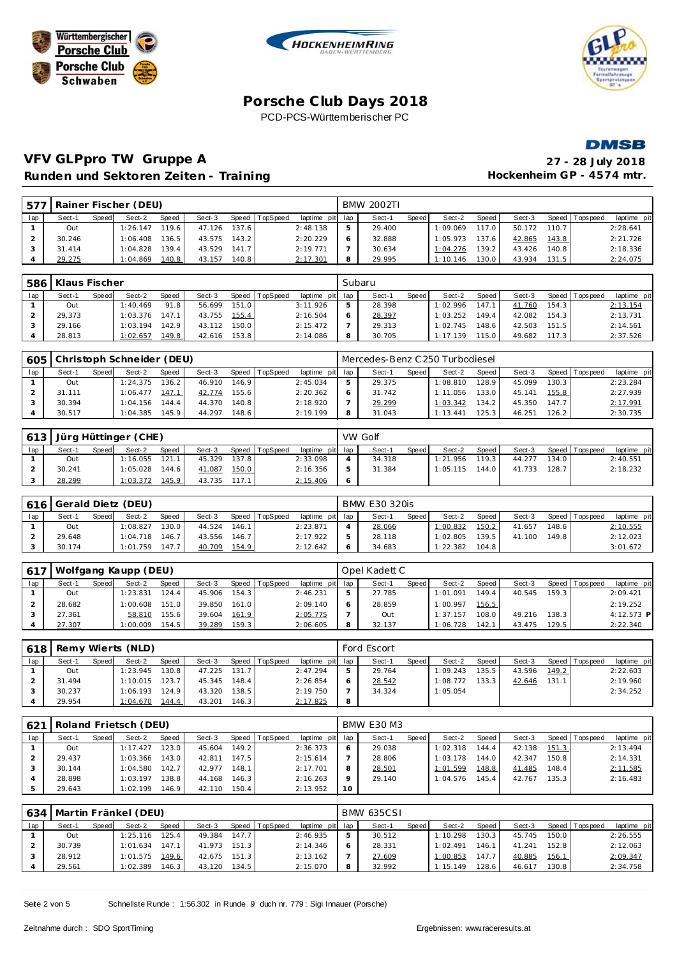







# **VFV GLPpro TW Gruppe A 27 - 28 July 2018** Runden und Sektoren Zeiten - Training **Matter and American Hockenheim GP** - 4574 mtr.

| $157^{-}$ |        |              | Rainer Fischer (DEU) |        |        |       |          |                 |   | <b>BMW 2002TI</b> |              |          |                    |        |       |                 |             |
|-----------|--------|--------------|----------------------|--------|--------|-------|----------|-----------------|---|-------------------|--------------|----------|--------------------|--------|-------|-----------------|-------------|
| lap i     | Sect-1 | <b>Speed</b> | Sect-2               | Speed  | Sect-3 | Speed | TopSpeed | laptime pit lap |   | Sect-1            | <b>Speed</b> | Sect-2   | Speed              | Sect-3 |       | Speed Tops peed | laptime pit |
|           | Out    |              | 1:26.147             | 119.6  | 47.126 | 137.6 |          | 2:48.138        |   | 29.400            |              | 1:09.069 | 117.0              | 50.172 | 110.7 |                 | 2:28.641    |
|           | 30.246 |              | 1:06.408             | 136.5  | 43.575 | 143.2 |          | 2:20.229        |   | 32.888            |              | 1:05.973 | 137.61             | 42.865 | 143.8 |                 | 2:21.726    |
|           | 31.414 |              | 1:04.828             | 139.41 | 43.529 | 141.7 |          | 2:19.771        |   | 30.634            |              | 1:04.276 | 139.2 <sub>1</sub> | 43.426 | 140.8 |                 | 2:18.336    |
|           | 29.275 |              | :04.869              | 140.8  | 43.157 | 140.8 |          | 2:17.301        | 8 | 29.995            |              | 1:10.146 | 130.0              | 43.934 | 131.5 |                 | 2:24.075    |

| 586 | Klaus Fischer |       |          |       |        |       |          |                 |   | Subaru |              |          |       |        |       |                |             |
|-----|---------------|-------|----------|-------|--------|-------|----------|-----------------|---|--------|--------------|----------|-------|--------|-------|----------------|-------------|
| lap | Sect-1        | Speed | Sect-2   | Speed | Sect-3 | Speed | TopSpeed | laptime pit lap |   | Sect-1 | <b>Speed</b> | Sect-2   | Speed | Sect-3 |       | Speed Topspeed | laptime pit |
|     | Out           |       | 1:40.469 | 91.8  | 56.699 | 151.0 |          | 3:11.926        |   | 28.398 |              | 1:02.996 | 147.1 | 41.760 | 154.3 |                | 2:13.154    |
|     | 29.373        |       | 1:03.376 | 147.1 | 43.755 | 155.4 |          | 2:16.504        |   | 28.397 |              | 1:03.252 | 149.4 | 42.082 | 154.3 |                | 2:13.731    |
|     | 29.166        |       | 1:03.194 | 142.9 | 43.112 | 150.0 |          | 2:15.472        |   | 29.313 |              | 1:02.745 | 148.6 | 42.503 | 151.5 |                | 2:14.561    |
|     | 28.813        |       | 1:02.657 | 149.8 | 42.616 | 153.8 |          | 2:14.086        | 8 | 30.705 |              | 1:17.139 | 115.0 | 49.682 | 117.3 |                | 2:37.526    |

| 605 |        |       | Christoph Schneider (DEU) |       |        |       |                 |                 | Mercedes-Benz C 250 Turbodiesel |              |          |        |        |         |           |             |
|-----|--------|-------|---------------------------|-------|--------|-------|-----------------|-----------------|---------------------------------|--------------|----------|--------|--------|---------|-----------|-------------|
| lap | Sect-1 | Speed | Sect-2                    | Speed | Sect-3 | Speed | <b>TopSpeed</b> | laptime pit lap | Sect-1                          | <b>Speed</b> | Sect-2   | Speed  | Sect-3 | Speed I | Tops peed | laptime pit |
|     | Out    |       | 1:24.375                  | 136.2 | 46.910 | 146.9 |                 | 2:45.034        | 29.375                          |              | 1:08.810 | 128.9. | 45.099 | 130.31  |           | 2:23.284    |
|     | 31.111 |       | 1:06.477                  | 147.1 | 42.774 | 155.6 |                 | 2:20.362        | 31.742                          |              | 1:11.056 | 133.0  | 45.141 | 155.8   |           | 2:27.939    |
|     | 30.394 |       | 1:04.156                  | 144.4 | 44.370 | 140.8 |                 | 2:18.920        | 29.299                          |              | 1:03.342 | 134.2  | 45.350 | 147.7   |           | 2:17.991    |
|     | 30.517 |       | 1:04.385                  | 145.9 | 44.297 | 148.6 |                 | 2:19.199        | 31.043                          |              | 1:13.441 | 125.3  | 46.251 | 126.2   |           | 2:30.735    |

| 613 | Jürg Hüttinger (CHE) |       |          |       |        |       |                |                 |         | VW Golf |       |          |       |        |       |                |             |
|-----|----------------------|-------|----------|-------|--------|-------|----------------|-----------------|---------|---------|-------|----------|-------|--------|-------|----------------|-------------|
| lap | Sect-1               | Speed | Sect-2   | Speed | Sect-3 |       | Speed TopSpeed | laptime pit lap |         | Sect-   | Speed | Sect-2   | Speed | Sect-3 |       | Speed Topspeed | laptime pit |
|     | Out                  |       | 1:16.055 | 121.1 | 45.329 | 137.8 |                | 2:33.098        |         | 34.318  |       | 1:21.956 | 119.3 | 44.277 | 134.0 |                | 2:40.551    |
|     | 30.241               |       | 1:05.028 | 144.6 | 41.087 | 150.0 |                | 2:16.356        | ь       | 31.384  |       | 1:05.115 | 144.0 | 41.733 | 128.7 |                | 2:18.232    |
|     | 28.299               |       | 1:03.372 | 145.9 | 43.735 | 117.1 |                | 2:15.406        | $\circ$ |         |       |          |       |        |       |                |             |

|     | 616 Gerald Dietz (DEU) |              |          |              |        |       |          |                 | <b>BMW E30 320is</b> |       |          |       |        |       |                 |             |
|-----|------------------------|--------------|----------|--------------|--------|-------|----------|-----------------|----------------------|-------|----------|-------|--------|-------|-----------------|-------------|
| lap | Sect-1                 | <b>Speed</b> | Sect-2   | <b>Speed</b> | Sect-3 | Speed | TopSpeed | laptime pit lap | Sect-1               | Speed | Sect-2   | Speed | Sect-3 |       | Speed Tops peed | laptime pit |
|     | Out                    |              | 1:08.827 | 130.0        | 44.524 | 146.1 |          | 2:23.871        | 28.066               |       | 1:00.832 | 150.2 | 41.657 | 148.6 |                 | 2:10.555    |
|     | 29.648                 |              | 1:04.718 | 146.7        | 43.556 | 146.7 |          | 2:17.922        | 28.118               |       | 1:02.805 | 139.5 | 41.100 | 149.8 |                 | 2:12.023    |
|     | 30.174                 |              | 1:01.759 | 147.7        | 40.709 | 154.9 |          | 2:12.642        | 34.683               |       | 1:22.382 | 104.8 |        |       |                 | 3:01.672    |

| 617 |        |       | Wolfgang Kaupp (DEU) |              |        |       |                |                 |   | Opel Kadett C |       |          |       |        |                    |                 |              |
|-----|--------|-------|----------------------|--------------|--------|-------|----------------|-----------------|---|---------------|-------|----------|-------|--------|--------------------|-----------------|--------------|
| lap | Sect-1 | Speed | Sect-2               | <b>Speed</b> | Sect-3 |       | Speed TopSpeed | laptime pit lap |   | Sect-1        | Speed | Sect-2   | Speed | Sect-3 |                    | Speed Tops peed | laptime pit  |
|     | Out    |       | : 23.831             | 124.4        | 45.906 | 154.3 |                | 2:46.231        |   | 27.785        |       | 1:01.091 | 149.4 | 40.545 | 159.3              |                 | 2:09.421     |
|     | 28.682 |       | : 00.608             | 151.0        | 39.850 | 161.0 |                | 2:09.140        |   | 28.859        |       | 1:00.997 | 156.5 |        |                    |                 | 2:19.252     |
|     | 27.361 |       | 58.810               | 155.6        | 39.604 | 161.9 |                | 2:05.775        |   | Out           |       | 1:37.157 | 108.0 | 49.216 | 138.3 <sub>1</sub> |                 | $4:12.573$ P |
|     | 27.307 |       | :00.009              | 154.5        | 39.289 | 159.3 |                | 2:06.605        | 8 | 32.137        |       | 1:06.728 | 142.  | 43.475 | 129.5              |                 | 2:22.340     |

| 618 |        |       | Remy Wierts (NLD) |              |        |       |                |                 |   | Ford Escort |       |          |       |        |       |                |             |
|-----|--------|-------|-------------------|--------------|--------|-------|----------------|-----------------|---|-------------|-------|----------|-------|--------|-------|----------------|-------------|
| lap | Sect-1 | Speed | Sect-2            | <b>Speed</b> | Sect-3 |       | Speed TopSpeed | laptime pit lap |   | Sect-1      | Speed | Sect-2   | Speed | Sect-3 |       | Speed Topspeed | laptime pit |
|     | Out    |       | 1:23.945          | 130.8        | 47.225 | 131.7 |                | 2:47.294        |   | 29.764      |       | 1:09.243 | 135.5 | 43.596 | 149.2 |                | 2:22.603    |
|     | 31.494 |       | 1:10.015          | 123.7        | 45.345 | 148.4 |                | 2:26.854        |   | 28.542      |       | 1:08.772 | 133.3 | 42.646 | 131.1 |                | 2:19.960    |
|     | 30.237 |       | 1:06.193          | 124.9        | 43.320 | 138.5 |                | 2:19.750        |   | 34.324      |       | 1:05.054 |       |        |       |                | 2:34.252    |
|     | 29.954 |       | 1:04.670          | 144.4        | 43.201 | 146.3 |                | 2:17.825        | 8 |             |       |          |       |        |       |                |             |

| 621 |        |       | Roland Frietsch (DEU) |       |        |        |                |                 |             | <b>BMW E30 M3</b> |       |          |       |        |       |                 |             |
|-----|--------|-------|-----------------------|-------|--------|--------|----------------|-----------------|-------------|-------------------|-------|----------|-------|--------|-------|-----------------|-------------|
| lap | Sect-1 | Speed | Sect-2                | Speed | Sect-3 |        | Speed TopSpeed | laptime pit lap |             | Sect-1            | Speed | Sect-2   | Speed | Sect-3 |       | Speed Tops peed | laptime pit |
|     | Out    |       | 1:17.427              | 123.0 | 45.604 | 149.21 |                | 2:36.373        | 6           | 29.038            |       | 1:02.318 | 144.4 | 42.138 | 151.3 |                 | 2:13.494    |
|     | 29.437 |       | 1:03.366              | 143.0 | 42.811 | 147.5  |                | 2:15.614        |             | 28.806            |       | 1:03.178 | 144.0 | 42.347 | 150.8 |                 | 2:14.331    |
|     | 30.144 |       | 1:04.580              | 142.7 | 42.977 | 148.1  |                | 2:17.701        | 8           | 28.501            |       | 1:01.599 | 148.8 | 41.485 | 148.4 |                 | 2:11.585    |
|     | 28.898 |       | 1:03.197              | 138.8 | 44.168 | 146.3  |                | 2:16.263        | $\mathsf Q$ | 29.140            |       | 1:04.576 | 145.4 | 42.767 | 135.3 |                 | 2:16.483    |
|     | 29.643 |       | 1:02.199              | 146.9 | 42.110 | 150.4  |                | 2:13.952        | 10          |                   |       |          |       |        |       |                 |             |

| 634 |        |              | Martin Fränkel (DEU) |       |        |       |                |                 | <b>BMW 635CSL</b> |       |          |                    |        |       |                |             |
|-----|--------|--------------|----------------------|-------|--------|-------|----------------|-----------------|-------------------|-------|----------|--------------------|--------|-------|----------------|-------------|
| lap | Sect-1 | <b>Speed</b> | Sect-2               | Speed | Sect-3 |       | Speed TopSpeed | laptime pit lap | Sect-1            | Speed | Sect-2   | Speed              | Sect-3 |       | Speed Topspeed | laptime pit |
|     | Out    |              | 1:25.116             | 125.4 | 49.384 | 147.7 |                | 2:46.935        | 30.512            |       | 1:10.298 | 130.3 <sub>1</sub> | 45.745 | 150.0 |                | 2:26.555    |
|     | 30.739 |              | 1:01.634             | 147.1 | 41.973 | 151.3 |                | 2:14.346        | 28.331            |       | 1:02.491 | 146.1 <sub>1</sub> | 41.241 | 152.8 |                | 2:12.063    |
|     | 28.912 |              | 1:01.575             | 149.6 | 42.675 | 151.3 |                | 2:13.162        | 27.609            |       | 1:00.853 | 147.7 <sub>1</sub> | 40.885 | 156.1 |                | 2:09.347    |
|     | 29.561 |              | 1:02.389             | 146.3 | 43.120 | 134.5 |                | 2:15.070        | 32.992            |       | 1:15.149 | 128.6              | 46.617 | 130.8 |                | 2:34.758    |

Seite 2 von 5 Schnellste Runde : 1:56.302 in Runde 9 duch nr. 779 : Sigi Imauer (Porsche)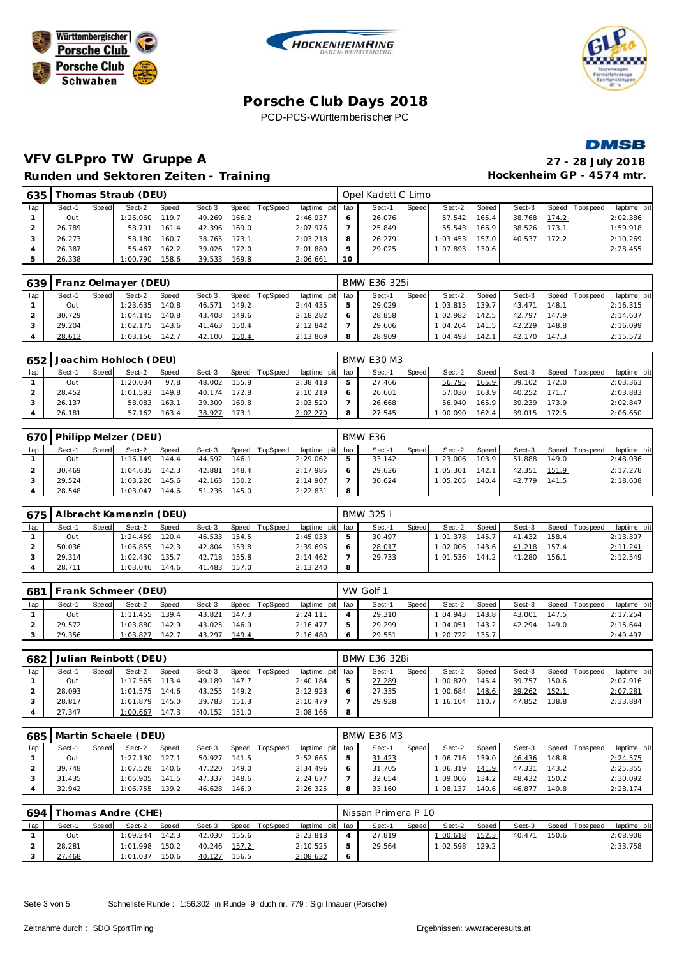







### **VFV GLPpro TW Gruppe A 27 - 28 July 2018 Runden und Sektoren Zeiten - Training**

|                |        |       | Nunderly and Servicient Echtern - Training |       |        |       |                |                 |         |                    |         |          |       |        |       |                | .          |
|----------------|--------|-------|--------------------------------------------|-------|--------|-------|----------------|-----------------|---------|--------------------|---------|----------|-------|--------|-------|----------------|------------|
| 635 L          |        |       | Thomas Straub (DEU)                        |       |        |       |                |                 |         | Opel Kadett C Limo |         |          |       |        |       |                |            |
| Iap            | Sect-1 | Speed | Sect-2                                     | Speed | Sect-3 |       | Speed TopSpeed | laptime pit lap |         | Sect-1             | Speed I | Sect-2   | Speed | Sect-3 |       | Speed Topspeed | laptime pi |
|                | Out    |       | 1:26.060                                   | 119.7 | 49.269 | 166.2 |                | 2:46.937        | 6       | 26.076             |         | 57.542   | 165.4 | 38.768 | 174.2 |                | 2:02.386   |
| $\mathcal{P}$  | 26.789 |       | 58.791                                     | 161.4 | 42.396 | 169.0 |                | 2:07.976        |         | 25.849             |         | 55.543   | 166.9 | 38.526 | 173.1 |                | 1:59.918   |
| 3              | 26.273 |       | 58.180                                     | 160.7 | 38.765 | 173.1 |                | 2:03.218        | 8       | 26.279             |         | 1:03.453 | 157.0 | 40.537 | 172.2 |                | 2:10.269   |
| $\overline{4}$ | 26.387 |       | 56.467                                     | 162.2 | 39.026 | 172.0 |                | 2:01.880        | $\circ$ | 29.025             |         | 1:07.893 | 130.6 |        |       |                | 2:28.455   |
|                | 26.338 |       | 1:00.790                                   | 158.6 | 39.533 | 169.8 |                | 2:06.661        | 10      |                    |         |          |       |        |       |                |            |

| 639 |        |       | Franz Oelmayer (DEU) |       |        |       |                |                 | BMW E36 325i |       |          |       |        |       |                 |             |
|-----|--------|-------|----------------------|-------|--------|-------|----------------|-----------------|--------------|-------|----------|-------|--------|-------|-----------------|-------------|
| lap | Sect-1 | Speed | Sect-2               | Speed | Sect-3 |       | Speed TopSpeed | laptime pit lap | Sect-1       | Speed | Sect-2   | Speed | Sect-3 |       | Speed Tops peed | laptime pit |
|     | Out    |       | 1:23.635             | 140.8 | 46.571 | 149.2 |                | 2:44.435        | 29.029       |       | 1:03.815 | 139.7 | 43.471 | 148.1 |                 | 2:16.315    |
|     | 30.729 |       | 1:04.145             | 140.8 | 43.408 | 149.6 |                | 2:18.282        | 28.858       |       | 1:02.982 | 142.5 | 42.797 | 147.9 |                 | 2:14.637    |
|     | 29.204 |       | 1:02.175             | 143.6 | 41.463 | 150.4 |                | 2:12.842        | 29.606       |       | 1:04.264 | 141.5 | 42.229 | 148.8 |                 | 2:16.099    |
|     | 28.613 |       | 1:03.156             | 142.7 | 42.100 | 150.4 |                | 2:13.869        | 28.909       |       | 1:04.493 | 142.1 | 42.170 | 147.3 |                 | 2:15.572    |

| 652 |        |       | Joachim Hohloch (DEU) |        |        |       |                 |                 | <b>BMW E30 M3</b> |       |          |       |        |         |             |             |
|-----|--------|-------|-----------------------|--------|--------|-------|-----------------|-----------------|-------------------|-------|----------|-------|--------|---------|-------------|-------------|
| lap | Sect-1 | Speed | Sect-2                | Speed  | Sect-3 | Speed | <b>TopSpeed</b> | laptime pit lap | Sect-1            | Speed | Sect-2   | Speed | Sect-3 | Speed I | T ops pee d | laptime pit |
|     | Out    |       | : 20.034              | 97.8   | 48.002 | 155.8 |                 | 2:38.418        | 27.466            |       | 56.795   | 165.9 | 39.102 | 172.0   |             | 2:03.363    |
|     | 28.452 |       | 1:01.593              | 149.81 | 40.174 | 172.8 |                 | 2:10.219        | 26.601            |       | 57.030   | 163.9 | 40.252 | 171.7   |             | 2:03.883    |
|     | 26.137 |       | 58.083                | 163.1  | 39.300 | 169.8 |                 | 2:03.520        | 26.668            |       | 56.940   | 165.9 | 39.239 | 173.9   |             | 2:02.847    |
|     | 26.181 |       | 57.162                | 163.4  | 38.927 | 173.1 |                 | 2:02.270        | 27.545            |       | 1:00.090 | 162.4 | 39.015 | 172.5   |             | 2:06.650    |

| 670 |        |       | Philipp Melzer (DEU) |       |        |         |                 |                 |   | BMW E36 |       |          |         |        |        |                |             |
|-----|--------|-------|----------------------|-------|--------|---------|-----------------|-----------------|---|---------|-------|----------|---------|--------|--------|----------------|-------------|
| lap | Sect-1 | Speed | Sect-2               | Speed | Sect-3 | Speed T | <b>TopSpeed</b> | laptime pit lap |   | Sect-1  | Speed | Sect-2   | Speed I | Sect-3 |        | Speed Topspeed | laptime pit |
|     | Out    |       | 1:16.149             | 144.4 | 44.592 | 146.1   |                 | 2:29.062        |   | 33.142  |       | 1:23.006 | 103.9   | 51.888 | 149.01 |                | 2:48.036    |
|     | 30.469 |       | 1:04.635             | 142.3 | 42.881 | 148.4   |                 | 2:17.985        |   | 29.626  |       | 1:05.301 | 142.    | 42.351 | 151.9  |                | 2:17.278    |
|     | 29.524 |       | 1:03.220             | 145.6 | 42.163 | 150.2   |                 | 2:14.907        |   | 30.624  |       | 1:05.205 | 140.4   | 42.779 | 141.5  |                | 2:18.608    |
|     | 28.548 |       | 1:03.047             | 144.6 | 51.236 | 145.0   |                 | 2:22.831        | 8 |         |       |          |         |        |        |                |             |

|     |        |       | 675   Albrecht Kamenzin (DEU) |              |        |       |          |                 |   | BMW 325 i |         |          |       |        |       |                 |             |
|-----|--------|-------|-------------------------------|--------------|--------|-------|----------|-----------------|---|-----------|---------|----------|-------|--------|-------|-----------------|-------------|
| lap | Sect-1 | Speed | Sect-2                        | <b>Speed</b> | Sect-3 | Speed | TopSpeed | laptime pit lap |   | Sect-1    | Speed I | Sect-2   | Speed | Sect-3 |       | Speed Tops peed | laptime pit |
|     | Out    |       | 1:24.459                      | 120.4        | 46.533 | 154.5 |          | 2:45.033        |   | 30.497    |         | 1:01.378 | 145.7 | 41.432 | 158.4 |                 | 2:13.307    |
|     | 50.036 |       | 1:06.855                      | 142.3        | 42.804 | 153.8 |          | 2:39.695        |   | 28.017    |         | 1:02.006 | 143.6 | 41.218 | 157.4 |                 | 2:11.241    |
|     | 29.314 |       | 1:02.430                      | 135.7        | 42.718 | 155.8 |          | 2:14.462        |   | 29.733    |         | 1:01.536 | 144.2 | 41.280 | 156.1 |                 | 2:12.549    |
|     | 28.711 |       | 1:03.046                      | 144.6        | 41.483 | 157.0 |          | 2:13.240        | 8 |           |         |          |       |        |       |                 |             |

| 681 |        |              | Frank Schmeer (DEU) |              |        |       |                 |                 | VW Golf 1 |       |          |       |        |       |                   |             |
|-----|--------|--------------|---------------------|--------------|--------|-------|-----------------|-----------------|-----------|-------|----------|-------|--------|-------|-------------------|-------------|
| lap | Sect-1 | <b>Speed</b> | Sect-2              | <b>Speed</b> | Sect-3 | Speed | <b>TopSpeed</b> | laptime pit lap | Sect-1    | Speed | Sect-2   | Speed | Sect-3 |       | Speed   Tops peed | laptime pit |
|     | Out    |              | 1:11.455            | 139.4        | 43.821 | 147.3 |                 | 2:24.111        | 29.310    |       | 1:04.943 | 143.8 | 43.001 | 147.5 |                   | 2:17.254    |
|     | 29.572 |              | 1:03.880            | 142.9        | 43.025 | 146.9 |                 | 2:16.477        | 29.299    |       | 1:04.051 | 143.2 | 42.294 | 149.0 |                   | 2:15.644    |
|     | 29.356 |              | 1:03.827            | 142.7        | 43.297 | 149.4 |                 | 2:16.480        | 29.551    |       | 1:20.722 | 135.7 |        |       |                   | 2:49.497    |

| 682 |        |              | Julian Reinbott (DEU) |       |        |       |          |                 | BMW E36 328i |       |          |       |        |       |                |             |
|-----|--------|--------------|-----------------------|-------|--------|-------|----------|-----------------|--------------|-------|----------|-------|--------|-------|----------------|-------------|
| lap | Sect-1 | <b>Speed</b> | Sect-2                | Speed | Sect-3 | Speed | TopSpeed | laptime pit lap | Sect-1       | Speed | Sect-2   | Speed | Sect-3 |       | Speed Topspeed | laptime pit |
|     | Out    |              | 1:17.565              | 113.4 | 49.189 | 147.7 |          | 2:40.184        | 27.289       |       | 1:00.870 | 145.4 | 39.757 | 150.6 |                | 2:07.916    |
|     | 28.093 |              | 1:01.575              | 144.6 | 43.255 | 149.2 |          | 2:12.923        | 27.335       |       | 1:00.684 | 148.6 | 39.262 | 152.1 |                | 2:07.281    |
|     | 28.817 |              | 1:01.879              | 145.0 | 39.783 | 151.3 |          | 2:10.479        | 29.928       |       | 1:16.104 | 110.7 | 47.852 | 138.8 |                | 2:33.884    |
|     | 27.347 |              | 1:00.667              | 147.3 | 40.152 | 151.0 |          | 2:08.166        |              |       |          |       |        |       |                |             |

| 685 |        |       | Martin Schaele (DEU) |              |        |       |                |             |     | <b>BMW E36 M3</b> |       |          |                    |        |       |                   |             |
|-----|--------|-------|----------------------|--------------|--------|-------|----------------|-------------|-----|-------------------|-------|----------|--------------------|--------|-------|-------------------|-------------|
| lap | Sect-1 | Speed | Sect-2               | <b>Speed</b> | Sect-3 |       | Speed TopSpeed | laptime pit | lap | Sect-1            | Speed | Sect-2   | Speed              | Sect-3 |       | Speed   Tops peed | laptime pit |
|     | Out    |       | 1:27.130             | 127.1        | 50.927 | 141.5 |                | 2:52.665    |     | 31.423            |       | 1:06.716 | 139.0              | 46.436 | 148.8 |                   | 2:24.575    |
|     | 39.748 |       | 1:07.528             | 140.6        | 47.220 | 149.0 |                | 2:34.496    |     | 31.705            |       | 1:06.319 | 141.9              | 47.331 | 143.2 |                   | 2:25.355    |
|     | 31.435 |       | 1:05.905             | 141.5        | 47.337 | 148.6 |                | 2:24.677    |     | 32.654            |       | 1:09.006 | 134.2 <sub>1</sub> | 48.432 | 150.2 |                   | 2:30.092    |
|     | 32.942 |       | 1:06.755             | 139.2        | 46.628 | 146.9 |                | 2:26.325    | 8   | 33.160            |       | 1:08.137 | 140.6              | 46.877 | 149.8 |                   | 2:28.174    |

| 694 |        |       | Thomas Andre (CHE) |              |        |                    |          |                 | Nissan Primera P 10 |         |          |       |        |                    |                |             |
|-----|--------|-------|--------------------|--------------|--------|--------------------|----------|-----------------|---------------------|---------|----------|-------|--------|--------------------|----------------|-------------|
| lap | Sect-1 | Speed | Sect-2             | <b>Speed</b> | Sect-3 | Speed              | TopSpeed | laptime pit lap | Sect-1              | Speed I | Sect-2   | Speed | Sect-3 |                    | Speed Topspeed | laptime pit |
|     | Out    |       | 1:09.244           | 142.3        | 42.030 | 155.6              |          | 2:23.818        | 27.819              |         | 1:00.618 | 152.3 | 40.471 | 150.6 <sub>1</sub> |                | 2:08.908    |
|     | 28.281 |       | 1:01.998           | 150.2        | 40.246 | 157.2              |          | 2:10.525        | 29.564              |         | 1:02.598 | 129.2 |        |                    |                | 2:33.758    |
|     | 27.468 |       | 1:01.037           | 150.6        | 40.127 | 156.5 <sub>1</sub> |          | 2:08.632        |                     |         |          |       |        |                    |                |             |

Seite 3 von 5 Schnellste Runde : 1:56.302 in Runde 9 duch nr. 779 : Sigi Imauer (Porsche)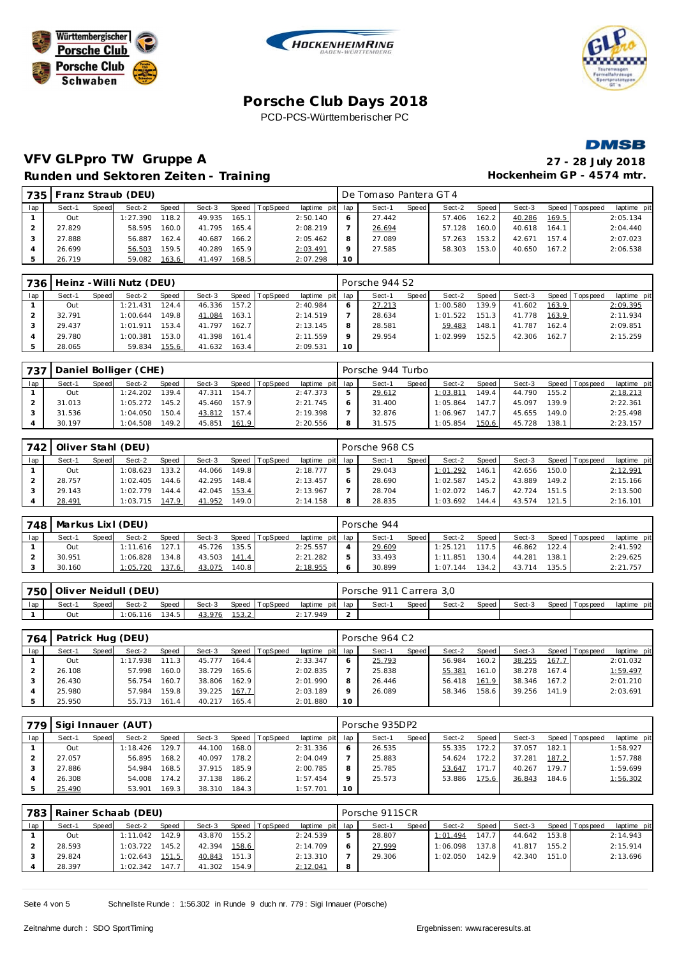







# **VFV GLPpro TW Gruppe A Runden und Sektoren Zeiten - Training + 4574 mtr.** Hockenheim GP + 4574 mtr.

| 27 - 28 July 2018          |
|----------------------------|
| -lockenheim GP - 4574 mtr. |

| 735 I |        |       | Franz Straub (DEU) |       |        |       |          |                 |         | De Tomaso Pantera GT 4 |       |        |       |        |       |                |             |
|-------|--------|-------|--------------------|-------|--------|-------|----------|-----------------|---------|------------------------|-------|--------|-------|--------|-------|----------------|-------------|
| lap   | Sect-1 | Speed | Sect-2             | Speed | Sect-3 | Speed | TopSpeed | laptime pit lap |         | Sect-1                 | Speed | Sect-2 | Speed | Sect-3 |       | Speed Topspeed | laptime pit |
|       | Out    |       | 1:27.390           | 118.2 | 49.935 | 165.1 |          | 2:50.140        |         | 27.442                 |       | 57.406 | 162.2 | 40.286 | 169.5 |                | 2:05.134    |
|       | 27.829 |       | 58.595             | 160.0 | 41.795 | 165.4 |          | 2:08.219        |         | 26.694                 |       | 57.128 | 160.0 | 40.618 | 164.1 |                | 2:04.440    |
|       | 27.888 |       | 56.887             | 162.4 | 40.687 | 166.2 |          | 2:05.462        |         | 27.089                 |       | 57.263 | 153.2 | 42.671 | 157.4 |                | 2:07.023    |
|       | 26.699 |       | 56.503             | 159.5 | 40.289 | 165.9 |          | 2:03.491        | $\circ$ | 27.585                 |       | 58.303 | 153.0 | 40.650 | 167.2 |                | 2:06.538    |
|       | 26.719 |       | 59.082             | 163.6 | 41.497 | 168.5 |          | 2:07.298        | 10      |                        |       |        |       |        |       |                |             |

| 736 |        |       | Heinz - Willi Nutz (DEU) |        |        |       |          |                 |    | Porsche 944 S2 |       |          |       |        |       |                |             |
|-----|--------|-------|--------------------------|--------|--------|-------|----------|-----------------|----|----------------|-------|----------|-------|--------|-------|----------------|-------------|
| lap | Sect-1 | Speed | Sect-2                   | Speed  | Sect-3 | Speed | TopSpeed | laptime pit lap |    | Sect-1         | Speed | Sect-2   | Speed | Sect-3 |       | Speed Topspeed | laptime pit |
|     | Out    |       | 1:21.431                 | 124.4. | 46.336 | 157.2 |          | 2:40.984        |    | 27.213         |       | 1:00.580 | 139.9 | 41.602 | 163.9 |                | 2:09.395    |
|     | 32.791 |       | 1:00.644                 | 149.8  | 41.084 | 163.1 |          | 2:14.519        |    | 28.634         |       | 1:01.522 | 151.3 | 41.778 | 163.9 |                | 2:11.934    |
|     | 29.437 |       | 1:01.911                 | 153.4  | 41.797 | 162.7 |          | 2:13.145        |    | 28.581         |       | 59.483   | 148.1 | 41.787 | 162.4 |                | 2:09.851    |
|     | 29.780 |       | 1:00.381                 | 153.0  | 41.398 | 161.4 |          | 2:11.559        |    | 29.954         |       | 1:02.999 | 152.5 | 42.306 | 162.7 |                | 2:15.259    |
|     | 28.065 |       | 59.834                   | 155.6  | 41.632 | 163.4 |          | 2:09.531        | 10 |                |       |          |       |        |       |                |             |

| $-737$ |        |              | Daniel Bolliger (CHE) |       |        |       |                |                 |              | Porsche 944 Turbo |              |          |       |        |       |                 |             |
|--------|--------|--------------|-----------------------|-------|--------|-------|----------------|-----------------|--------------|-------------------|--------------|----------|-------|--------|-------|-----------------|-------------|
| lap    | Sect-1 | <b>Speed</b> | Sect-2                | Speed | Sect-3 |       | Speed TopSpeed | laptime pit lap |              | Sect-1            | <b>Speed</b> | Sect-2   | Speed | Sect-3 |       | Speed Tops peed | laptime pit |
|        | Out    |              | 1:24.202              | 139.4 | 47.311 | 154.7 |                | 2:47.373        | ь            | 29.612            |              | 1:03.811 | 149.4 | 44.790 | 155.2 |                 | 2:18.213    |
|        | 31.013 |              | 1:05.272              | 145.2 | 45.460 | 157.9 |                | 2:21.745        | <sub>O</sub> | 31.400            |              | 1:05.864 | 147.7 | 45.097 | 139.9 |                 | 2:22.361    |
|        | 31.536 |              | 1:04.050              | 150.4 | 43.812 | 157.4 |                | 2:19.398        |              | 32.876            |              | 1:06.967 | 147.1 | 45.655 | 149.0 |                 | 2:25.498    |
|        | 30.197 |              | 1:04.508              | 149.2 | 45.851 | 161.9 |                | 2:20.556        | 8            | 31.575            |              | 1:05.854 | 150.6 | 45.728 | 138.1 |                 | 2:23.157    |

| 742 |        |              | Oliver Stahl (DEU) |       |        |       |                |                 | Porsche 968 CS |       |          |                    |        |       |                 |             |
|-----|--------|--------------|--------------------|-------|--------|-------|----------------|-----------------|----------------|-------|----------|--------------------|--------|-------|-----------------|-------------|
| lap | Sect-1 | <b>Speed</b> | Sect-2             | Speed | Sect-3 |       | Speed TopSpeed | laptime pit lap | Sect-1         | Speed | Sect-2   | Speed              | Sect-3 |       | Speed Tops peed | laptime pit |
|     | Out    |              | 1:08.623           | 133.2 | 44.066 | 149.8 |                | 2:18.777        | 29.043         |       | 1:01.292 | 146.1 <sub>1</sub> | 42.656 | 150.0 |                 | 2:12.991    |
|     | 28.757 |              | 1:02.405           | 144.6 | 42.295 | 148.4 |                | 2:13.457        | 28.690         |       | 1:02.587 | 145.2              | 43.889 | 149.2 |                 | 2:15.166    |
|     | 29.143 |              | 1:02.779           | 144.4 | 42.045 | 153.4 |                | 2:13.967        | 28.704         |       | 1:02.072 | 146.7              | 42.724 | 151.5 |                 | 2:13.500    |
|     | 28.491 |              | 1:03.715           | 147.9 | 41.952 | 149.0 |                | 2:14.158        | 28.835         |       | 1:03.692 | 144.4              | 43.574 | 121.5 |                 | 2:16.101    |

| 748 |        |              | Markus Lixl (DEU) |              |        |       |          |                 | Porsche 944 |       |          |       |        |       |                |             |
|-----|--------|--------------|-------------------|--------------|--------|-------|----------|-----------------|-------------|-------|----------|-------|--------|-------|----------------|-------------|
| lap | Sect-1 | <b>Speed</b> | Sect-2            | <b>Speed</b> | Sect-3 | Speed | TopSpeed | laptime pit lap | Sect-1      | Speed | Sect-2   | Speed | Sect-3 |       | Speed Topspeed | laptime pit |
|     | Out    |              | 1:11.616          | 127.1        | 45.726 | 135.5 |          | 2:25.557        | 29.609      |       | 1:25.121 | 117.5 | 46.862 | 122.4 |                | 2:41.592    |
|     | 30.951 |              | 1:06.828          | 134.8        | 43.503 | 141.4 |          | 2:21.282        | 33.493      |       | 1:11.851 | 130.4 | 44.281 | 138.1 |                | 2:29.625    |
|     | 30.160 |              | 1:05.720          | 137.6        | 43.075 | 140.8 |          | 2:18.955        | 30.899      |       | 1:07.144 | 134.2 | 43.714 | 135.5 |                | 2:21.757    |

|     | 750   Oliver Neidull (DEU) |              |          |       |        |       |                |                 | Porsche 911 Carrera 3.0 |       |        |         |        |                 |             |
|-----|----------------------------|--------------|----------|-------|--------|-------|----------------|-----------------|-------------------------|-------|--------|---------|--------|-----------------|-------------|
| lap | Sect-1                     | <b>Speed</b> | Sect-2   | Speed | Sect-3 |       | Speed TopSpeed | laptime pit lap | Sect-                   | Speed | Sect-2 | Speed I | Sect-3 | Speed Tops peed | laptime pit |
|     | Out                        |              | 1:06.116 | 134.5 | 43.976 | 153.2 |                | 2:17.949        |                         |       |        |         |        |                 |             |

| 764 |        |       | Patrick Hug (DEU) |       |        |       |                  |                 |    | Porsche 964 C2 |       |        |         |        |       |                   |             |
|-----|--------|-------|-------------------|-------|--------|-------|------------------|-----------------|----|----------------|-------|--------|---------|--------|-------|-------------------|-------------|
| lap | Sect-1 | Speed | Sect-2            | Speed | Sect-3 |       | Speed   TopSpeed | laptime pit lap |    | Sect-1         | Speed | Sect-2 | Speed I | Sect-3 |       | Speed   Tops peed | laptime pit |
|     | Out    |       | 1:17.938          | 111.3 | 45.777 | 164.4 |                  | 2:33.347        |    | 25.793         |       | 56.984 | 160.2   | 38.255 | 167.7 |                   | 2:01.032    |
|     | 26.108 |       | 57.998            | 160.0 | 38.729 | 165.6 |                  | 2:02.835        |    | 25.838         |       | 55.381 | 161.0   | 38.278 | 167.4 |                   | 1:59.497    |
|     | 26.430 |       | 56.754            | 160.7 | 38.806 | 162.9 |                  | 2:01.990        |    | 26.446         |       | 56.418 | 161.9   | 38.346 | 167.2 |                   | 2:01.210    |
|     | 25.980 |       | 57.984            | 159.8 | 39.225 | 167.7 |                  | 2:03.189        |    | 26.089         |       | 58.346 | 158.6   | 39.256 | 141.9 |                   | 2:03.691    |
|     | 25.950 |       | 55.713            | 161.4 | 40.217 | 165.4 |                  | 2:01.880        | 10 |                |       |        |         |        |       |                   |             |

| 779 |        | Sigi Innauer (AUT) |          |       | Porsche 935DP2 |       |                |             |             |        |       |        |       |        |       |                 |             |
|-----|--------|--------------------|----------|-------|----------------|-------|----------------|-------------|-------------|--------|-------|--------|-------|--------|-------|-----------------|-------------|
| lap | Sect-1 | Speed              | Sect-2   | Speed | Sect-3         |       | Speed TopSpeed | laptime pit | lap         | Sect-1 | Speed | Sect-2 | Speed | Sect-3 |       | Speed Tops peed | laptime pit |
|     | Out    |                    | 1:18.426 | 129.7 | 44.100         | 168.0 |                | 2:31.336    | 6           | 26.535 |       | 55.335 | 172.2 | 37.057 | 182.1 |                 | 1:58.927    |
|     | 27.057 |                    | 56.895   | 168.2 | 40.097         | 178.2 |                | 2:04.049    |             | 25.883 |       | 54.624 | 172.2 | 37.281 | 187.2 |                 | 1:57.788    |
|     | 27.886 |                    | 54.984   | 168.5 | 37.915         | 185.9 |                | 2:00.785    | 8           | 25.785 |       | 53.647 | 171.7 | 40.267 | 179.7 |                 | 1:59.699    |
|     | 26.308 |                    | 54.008   | 174.2 | 37.138         | 186.2 |                | 1:57.454    | $\mathsf Q$ | 25.573 |       | 53.886 | 175.6 | 36.843 | 184.6 |                 | 1:56.302    |
|     | 25.490 |                    | 53.901   | 169.3 | 38.310         | 184.3 |                | 1:57.701    | 10          |        |       |        |       |        |       |                 |             |

|     | 783   Rainer Schaab (DEU) |       |          |       |        |       |                |                 |   | Porsche 911SCR |         |          |                    |        |       |                 |             |  |  |
|-----|---------------------------|-------|----------|-------|--------|-------|----------------|-----------------|---|----------------|---------|----------|--------------------|--------|-------|-----------------|-------------|--|--|
| lap | Sect-1                    | Speed | Sect-2   | Speed | Sect-3 |       | Speed TopSpeed | laptime pit lap |   | Sect-1         | Speed I | Sect-2   | Speed              | Sect-3 |       | Speed Tops peed | laptime pit |  |  |
|     | Out                       |       | 1:11.042 | 142.9 | 43.870 | 155.2 |                | 2:24.539        |   | 28.807         |         | 1:01.494 | 147.7 <sub>1</sub> | 44.642 | 153.8 |                 | 2:14.943    |  |  |
|     | 28.593                    |       | 1:03.722 | 145.2 | 42.394 | 158.6 |                | 2:14.709        |   | 27.999         |         | 1:06.098 | 137.8              | 41.817 | 155.2 |                 | 2:15.914    |  |  |
|     | 29.824                    |       | 1:02.643 | 151.5 | 40.843 | 151.3 |                | 2:13.310        |   | 29.306         |         | 1:02.050 | 142.9              | 42.340 | 151.0 |                 | 2:13.696    |  |  |
|     | 28.397                    |       | 1:02.342 | 147.7 | 41.302 | 154.9 |                | 2:12.041        | 8 |                |         |          |                    |        |       |                 |             |  |  |

Seite 4 von 5 Schnellste Runde : 1:56.302 in Runde 9 duch nr. 779 : Sigi Imauer (Porsche)